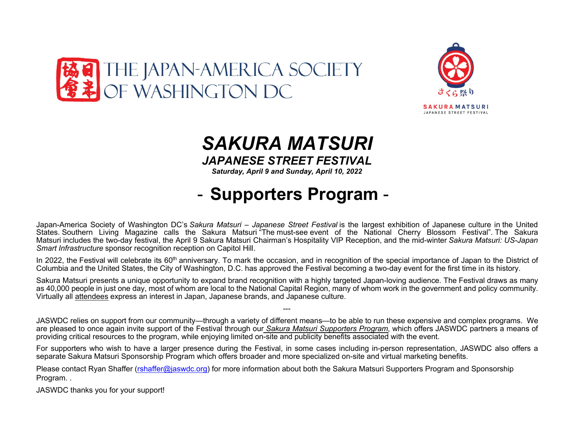



## SAKURA MATSURI JAPANESE STREET FESTIVAL

Saturday, April 9 and Sunday, April 10, 2022

## - Supporters Program -

Japan-America Society of Washington DC's Sakura Matsuri – Japanese Street Festival is the largest exhibition of Japanese culture in the United States. Southern Living Magazine calls the Sakura Matsuri "The must-see event of the National Cherry Blossom Festival". The Sakura Matsuri includes the two-day festival, the April 9 Sakura Matsuri Chairman's Hospitality VIP Reception, and the mid-winter Sakura Matsuri: US-Japan Smart Infrastructure sponsor recognition reception on Capitol Hill.

In 2022, the Festival will celebrate its 60<sup>th</sup> anniversary. To mark the occasion, and in recognition of the special importance of Japan to the District of Columbia and the United States, the City of Washington, D.C. has approved the Festival becoming a two-day event for the first time in its history.

Sakura Matsuri presents a unique opportunity to expand brand recognition with a highly targeted Japan-loving audience. The Festival draws as many as 40,000 people in just one day, most of whom are local to the National Capital Region, many of whom work in the government and policy community. Virtually all attendees express an interest in Japan, Japanese brands, and Japanese culture.

JASWDC relies on support from our community—through a variety of different means—to be able to run these expensive and complex programs. We are pleased to once again invite support of the Festival through our Sakura Matsuri Supporters Program, which offers JASWDC partners a means of providing critical resources to the program, while enjoying limited on-site and publicity benefits associated with the event.

---

For supporters who wish to have a larger presence during the Festival, in some cases including in-person representation, JASWDC also offers a separate Sakura Matsuri Sponsorship Program which offers broader and more specialized on-site and virtual marketing benefits.

Please contact Ryan Shaffer (rshaffer@jaswdc.org) for more information about both the Sakura Matsuri Supporters Program and Sponsorship Program. .

JASWDC thanks you for your support!